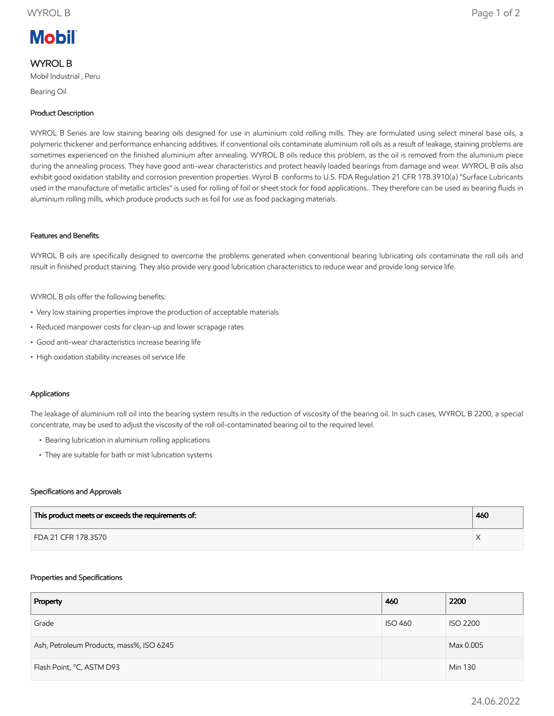# **Mobil**

# WYROL B

Mobil Industrial , Peru

Bearing Oil

# Product Description

WYROL B Series are low staining bearing oils designed for use in aluminium cold rolling mills. They are formulated using select mineral base oils, a polymeric thickener and performance enhancing additives. If conventional oils contaminate aluminium roll oils as a result of leakage, staining problems are sometimes experienced on the finished aluminium after annealing. WYROL B oils reduce this problem, as the oil is removed from the aluminium piece during the annealing process. They have good anti-wear characteristics and protect heavily loaded bearings from damage and wear. WYROL B oils also exhibit good oxidation stability and corrosion prevention properties. Wyrol B conforms to U.S. FDA Regulation 21 CFR 178.3910(a) "Surface Lubricants used in the manufacture of metallic articles" is used for rolling of foil or sheet stock for food applications.. They therefore can be used as bearing fluids in aluminium rolling mills, which produce products such as foil for use as food packaging materials.

## Features and Benefits

WYROL B oils are specifically designed to overcome the problems generated when conventional bearing lubricating oils contaminate the roll oils and result in finished product staining. They also provide very good lubrication characteristics to reduce wear and provide long service life.

WYROL B oils offer the following benefits:

- Very low staining properties improve the production of acceptable materials
- Reduced manpower costs for clean-up and lower scrapage rates
- Good anti-wear characteristics increase bearing life
- High oxidation stability increases oil service life

## Applications

The leakage of aluminium roll oil into the bearing system results in the reduction of viscosity of the bearing oil. In such cases, WYROL B 2200, a special concentrate, may be used to adjust the viscosity of the roll oil-contaminated bearing oil to the required level.

- Bearing lubrication in aluminium rolling applications
- They are suitable for bath or mist lubrication systems

#### Specifications and Approvals

| This product meets or exceeds the requirements of: | 460 |
|----------------------------------------------------|-----|
| FDA 21 CFR 178.3570                                |     |

#### Properties and Specifications

| Property                                 | 460            | 2200            |
|------------------------------------------|----------------|-----------------|
| Grade                                    | <b>ISO 460</b> | <b>ISO 2200</b> |
| Ash, Petroleum Products, mass%, ISO 6245 |                | Max 0.005       |
| Flash Point, °C, ASTM D93                |                | Min 130         |